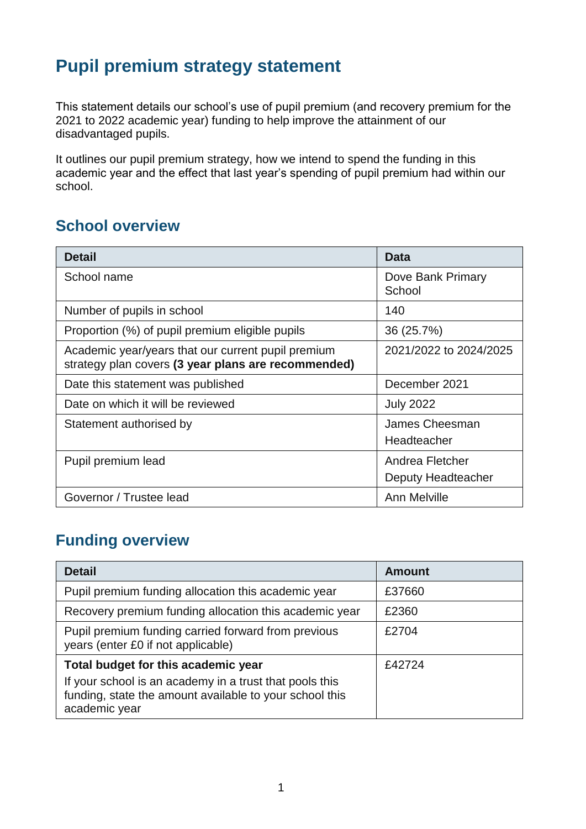# **Pupil premium strategy statement**

This statement details our school's use of pupil premium (and recovery premium for the 2021 to 2022 academic year) funding to help improve the attainment of our disadvantaged pupils.

It outlines our pupil premium strategy, how we intend to spend the funding in this academic year and the effect that last year's spending of pupil premium had within our school.

## **School overview**

| <b>Detail</b>                                                                                             | <b>Data</b>                           |
|-----------------------------------------------------------------------------------------------------------|---------------------------------------|
| School name                                                                                               | Dove Bank Primary<br>School           |
| Number of pupils in school                                                                                | 140                                   |
| Proportion (%) of pupil premium eligible pupils                                                           | 36 (25.7%)                            |
| Academic year/years that our current pupil premium<br>strategy plan covers (3 year plans are recommended) | 2021/2022 to 2024/2025                |
| Date this statement was published                                                                         | December 2021                         |
| Date on which it will be reviewed                                                                         | <b>July 2022</b>                      |
| Statement authorised by                                                                                   | James Cheesman<br>Headteacher         |
| Pupil premium lead                                                                                        | Andrea Fletcher<br>Deputy Headteacher |
| Governor / Trustee lead                                                                                   | Ann Melville                          |

## **Funding overview**

| <b>Detail</b>                                                                                                                       | <b>Amount</b> |
|-------------------------------------------------------------------------------------------------------------------------------------|---------------|
| Pupil premium funding allocation this academic year                                                                                 | £37660        |
| Recovery premium funding allocation this academic year                                                                              | £2360         |
| Pupil premium funding carried forward from previous<br>years (enter £0 if not applicable)                                           | £2704         |
| Total budget for this academic year                                                                                                 | £42724        |
| If your school is an academy in a trust that pools this<br>funding, state the amount available to your school this<br>academic year |               |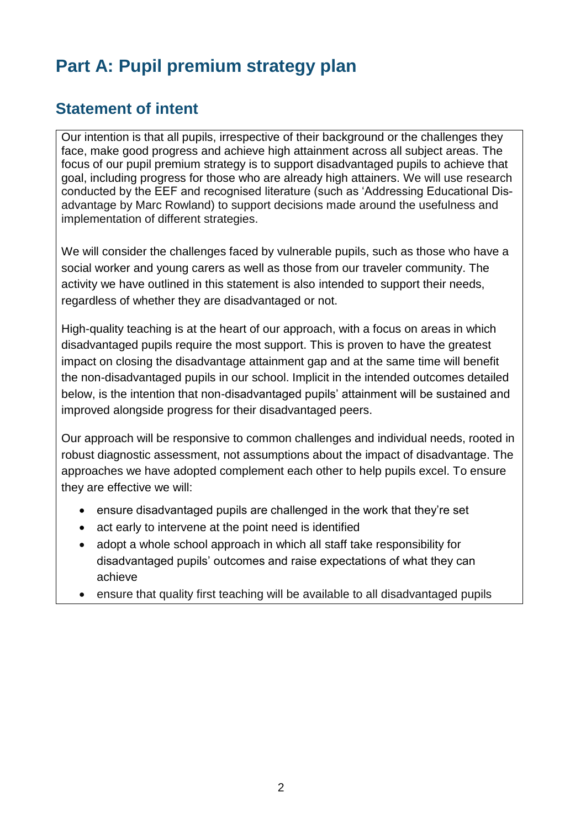# **Part A: Pupil premium strategy plan**

## **Statement of intent**

Our intention is that all pupils, irrespective of their background or the challenges they face, make good progress and achieve high attainment across all subject areas. The focus of our pupil premium strategy is to support disadvantaged pupils to achieve that goal, including progress for those who are already high attainers. We will use research conducted by the EEF and recognised literature (such as 'Addressing Educational Disadvantage by Marc Rowland) to support decisions made around the usefulness and implementation of different strategies.

We will consider the challenges faced by vulnerable pupils, such as those who have a social worker and young carers as well as those from our traveler community. The activity we have outlined in this statement is also intended to support their needs, regardless of whether they are disadvantaged or not.

High-quality teaching is at the heart of our approach, with a focus on areas in which disadvantaged pupils require the most support. This is proven to have the greatest impact on closing the disadvantage attainment gap and at the same time will benefit the non-disadvantaged pupils in our school. Implicit in the intended outcomes detailed below, is the intention that non-disadvantaged pupils' attainment will be sustained and improved alongside progress for their disadvantaged peers.

Our approach will be responsive to common challenges and individual needs, rooted in robust diagnostic assessment, not assumptions about the impact of disadvantage. The approaches we have adopted complement each other to help pupils excel. To ensure they are effective we will:

- ensure disadvantaged pupils are challenged in the work that they're set
- act early to intervene at the point need is identified
- adopt a whole school approach in which all staff take responsibility for disadvantaged pupils' outcomes and raise expectations of what they can achieve
- ensure that quality first teaching will be available to all disadvantaged pupils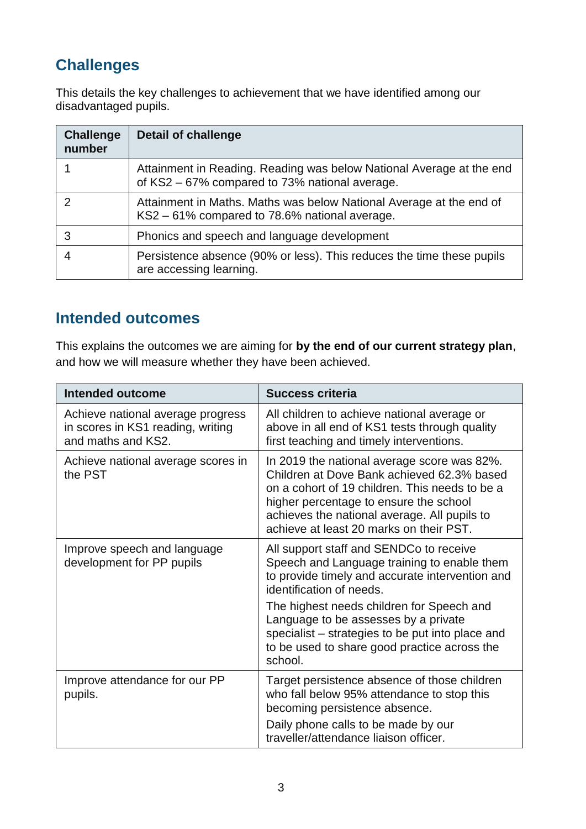# **Challenges**

This details the key challenges to achievement that we have identified among our disadvantaged pupils.

| <b>Challenge</b><br>number | <b>Detail of challenge</b>                                                                                             |
|----------------------------|------------------------------------------------------------------------------------------------------------------------|
|                            | Attainment in Reading. Reading was below National Average at the end<br>of KS2 - 67% compared to 73% national average. |
|                            | Attainment in Maths. Maths was below National Average at the end of<br>KS2 – 61% compared to 78.6% national average.   |
| 3                          | Phonics and speech and language development                                                                            |
|                            | Persistence absence (90% or less). This reduces the time these pupils<br>are accessing learning.                       |

### **Intended outcomes**

This explains the outcomes we are aiming for **by the end of our current strategy plan**, and how we will measure whether they have been achieved.

| <b>Intended outcome</b>                                                                      | <b>Success criteria</b>                                                                                                                                                                                                                                                          |
|----------------------------------------------------------------------------------------------|----------------------------------------------------------------------------------------------------------------------------------------------------------------------------------------------------------------------------------------------------------------------------------|
| Achieve national average progress<br>in scores in KS1 reading, writing<br>and maths and KS2. | All children to achieve national average or<br>above in all end of KS1 tests through quality<br>first teaching and timely interventions.                                                                                                                                         |
| Achieve national average scores in<br>the PST                                                | In 2019 the national average score was 82%.<br>Children at Dove Bank achieved 62.3% based<br>on a cohort of 19 children. This needs to be a<br>higher percentage to ensure the school<br>achieves the national average. All pupils to<br>achieve at least 20 marks on their PST. |
| Improve speech and language<br>development for PP pupils                                     | All support staff and SENDCo to receive<br>Speech and Language training to enable them<br>to provide timely and accurate intervention and<br>identification of needs.                                                                                                            |
|                                                                                              | The highest needs children for Speech and<br>Language to be assesses by a private<br>specialist – strategies to be put into place and<br>to be used to share good practice across the<br>school.                                                                                 |
| Improve attendance for our PP<br>pupils.                                                     | Target persistence absence of those children<br>who fall below 95% attendance to stop this<br>becoming persistence absence.<br>Daily phone calls to be made by our                                                                                                               |
|                                                                                              | traveller/attendance liaison officer.                                                                                                                                                                                                                                            |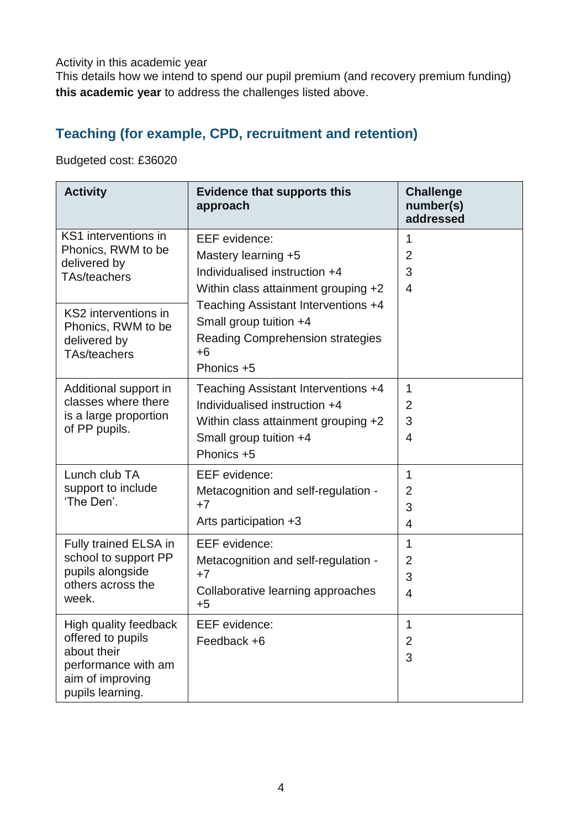Activity in this academic year

This details how we intend to spend our pupil premium (and recovery premium funding) **this academic year** to address the challenges listed above.

### **Teaching (for example, CPD, recruitment and retention)**

Budgeted cost: £36020

| <b>Activity</b>                                                                                                          | <b>Evidence that supports this</b><br>approach                                                                                                      | <b>Challenge</b><br>number(s)<br>addressed |
|--------------------------------------------------------------------------------------------------------------------------|-----------------------------------------------------------------------------------------------------------------------------------------------------|--------------------------------------------|
| KS1 interventions in<br>Phonics, RWM to be<br>delivered by<br><b>TAs/teachers</b>                                        | <b>EEF</b> evidence:<br>Mastery learning +5<br>Individualised instruction +4<br>Within class attainment grouping +2                                 | 1<br>$\overline{2}$<br>3<br>$\overline{4}$ |
| KS2 interventions in<br>Phonics, RWM to be<br>delivered by<br>TAs/teachers                                               | Teaching Assistant Interventions +4<br>Small group tuition +4<br><b>Reading Comprehension strategies</b><br>$+6$<br>Phonics +5                      |                                            |
| Additional support in<br>classes where there<br>is a large proportion<br>of PP pupils.                                   | Teaching Assistant Interventions +4<br>Individualised instruction +4<br>Within class attainment grouping +2<br>Small group tuition +4<br>Phonics +5 | 1<br>2<br>3<br>4                           |
| Lunch club TA<br>support to include<br>'The Den'.                                                                        | EEF evidence:<br>Metacognition and self-regulation -<br>$+7$<br>Arts participation +3                                                               | 1<br>2<br>3<br>4                           |
| Fully trained ELSA in<br>school to support PP<br>pupils alongside<br>others across the<br>week.                          | <b>EEF</b> evidence:<br>Metacognition and self-regulation -<br>$+7$<br>Collaborative learning approaches<br>$+5$                                    | 1<br>2<br>3<br>$\overline{4}$              |
| High quality feedback<br>offered to pupils<br>about their<br>performance with am<br>aim of improving<br>pupils learning. | EEF evidence:<br>Feedback +6                                                                                                                        | $\overline{A}$<br>$\overline{2}$<br>3      |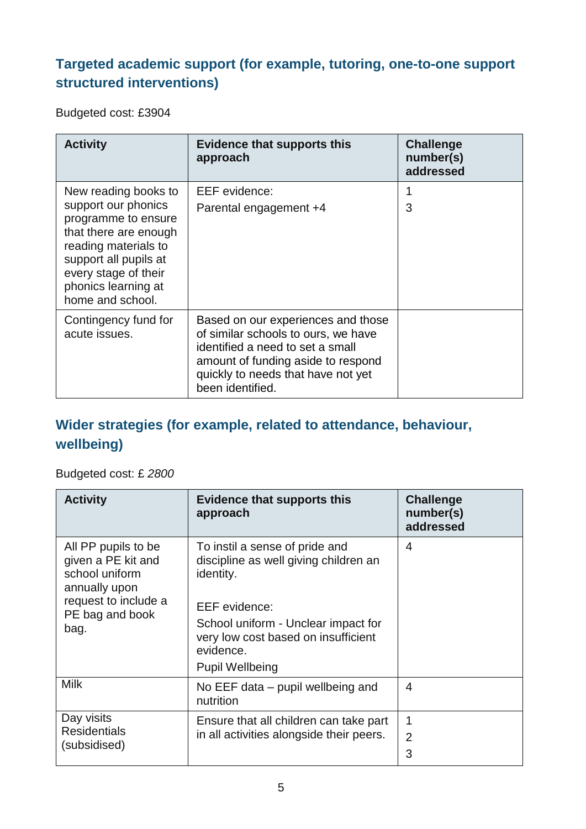## **Targeted academic support (for example, tutoring, one-to-one support structured interventions)**

Budgeted cost: £3904

| <b>Activity</b>                                                                                                                                                                                                 | <b>Evidence that supports this</b><br>approach                                                                                                                                                                | <b>Challenge</b><br>number(s)<br>addressed |
|-----------------------------------------------------------------------------------------------------------------------------------------------------------------------------------------------------------------|---------------------------------------------------------------------------------------------------------------------------------------------------------------------------------------------------------------|--------------------------------------------|
| New reading books to<br>support our phonics<br>programme to ensure<br>that there are enough<br>reading materials to<br>support all pupils at<br>every stage of their<br>phonics learning at<br>home and school. | <b>EEF</b> evidence:<br>Parental engagement +4                                                                                                                                                                | 3                                          |
| Contingency fund for<br>acute issues.                                                                                                                                                                           | Based on our experiences and those<br>of similar schools to ours, we have<br>identified a need to set a small<br>amount of funding aside to respond<br>quickly to needs that have not yet<br>been identified. |                                            |

## **Wider strategies (for example, related to attendance, behaviour, wellbeing)**

#### Budgeted cost: £ *2800*

| <b>Activity</b>                                                                                                                 | <b>Evidence that supports this</b><br>approach                                                                                                                                                                                    | <b>Challenge</b><br>number(s)<br>addressed |
|---------------------------------------------------------------------------------------------------------------------------------|-----------------------------------------------------------------------------------------------------------------------------------------------------------------------------------------------------------------------------------|--------------------------------------------|
| All PP pupils to be<br>given a PE kit and<br>school uniform<br>annually upon<br>request to include a<br>PE bag and book<br>bag. | To instil a sense of pride and<br>discipline as well giving children an<br>identity.<br><b>EEF</b> evidence:<br>School uniform - Unclear impact for<br>very low cost based on insufficient<br>evidence.<br><b>Pupil Wellbeing</b> | 4                                          |
| <b>Milk</b>                                                                                                                     | No EEF data – pupil wellbeing and<br>nutrition                                                                                                                                                                                    | 4                                          |
| Day visits<br><b>Residentials</b><br>(subsidised)                                                                               | Ensure that all children can take part<br>in all activities alongside their peers.                                                                                                                                                | 1<br>$\overline{2}$<br>3                   |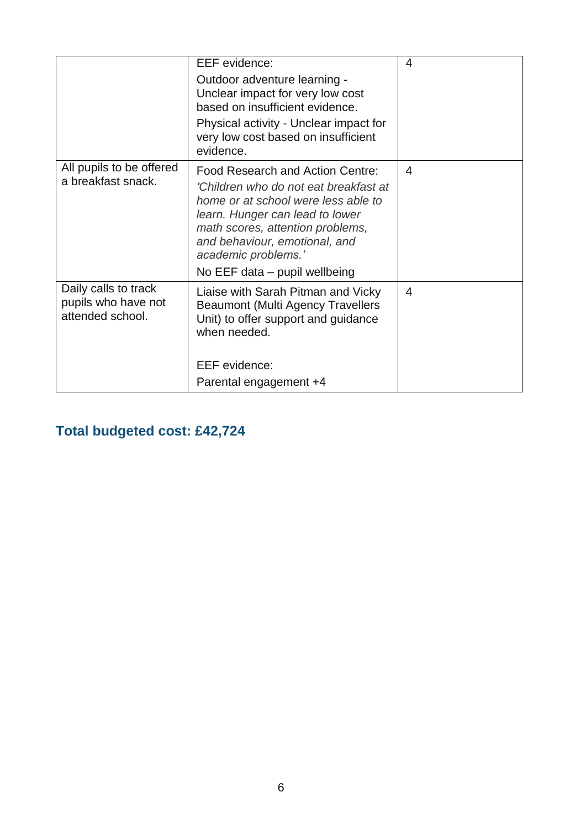|                                                                 | <b>EEF</b> evidence:<br>Outdoor adventure learning -<br>Unclear impact for very low cost<br>based on insufficient evidence.<br>Physical activity - Unclear impact for<br>very low cost based on insufficient<br>evidence.                                                        | 4 |
|-----------------------------------------------------------------|----------------------------------------------------------------------------------------------------------------------------------------------------------------------------------------------------------------------------------------------------------------------------------|---|
| All pupils to be offered<br>a breakfast snack.                  | Food Research and Action Centre:<br>'Children who do not eat breakfast at<br>home or at school were less able to<br>learn. Hunger can lead to lower<br>math scores, attention problems,<br>and behaviour, emotional, and<br>academic problems.'<br>No EEF data - pupil wellbeing | 4 |
| Daily calls to track<br>pupils who have not<br>attended school. | Liaise with Sarah Pitman and Vicky<br><b>Beaumont (Multi Agency Travellers</b><br>Unit) to offer support and guidance<br>when needed.<br><b>EEF</b> evidence:<br>Parental engagement +4                                                                                          | 4 |

**Total budgeted cost: £42,724**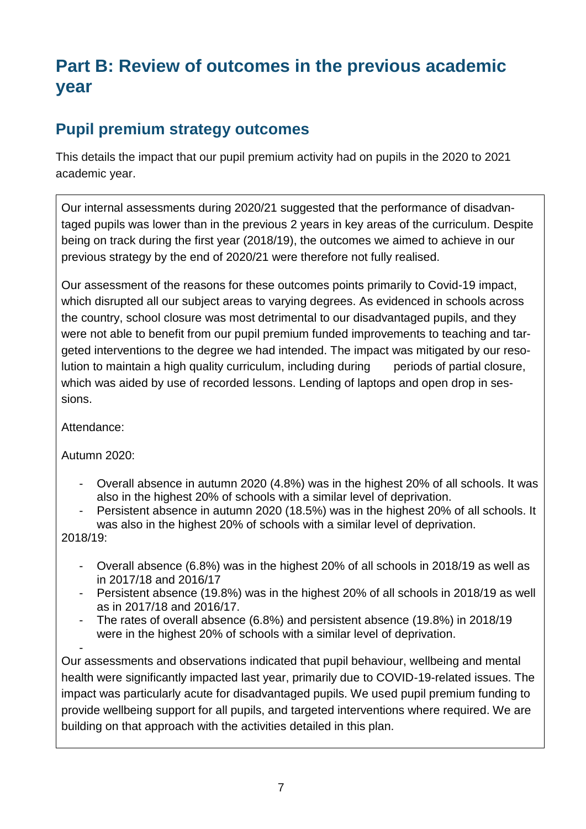# **Part B: Review of outcomes in the previous academic year**

## **Pupil premium strategy outcomes**

This details the impact that our pupil premium activity had on pupils in the 2020 to 2021 academic year.

Our internal assessments during 2020/21 suggested that the performance of disadvantaged pupils was lower than in the previous 2 years in key areas of the curriculum. Despite being on track during the first year (2018/19), the outcomes we aimed to achieve in our previous strategy by the end of 2020/21 were therefore not fully realised.

Our assessment of the reasons for these outcomes points primarily to Covid-19 impact, which disrupted all our subject areas to varying degrees. As evidenced in schools across the country, school closure was most detrimental to our disadvantaged pupils, and they were not able to benefit from our pupil premium funded improvements to teaching and targeted interventions to the degree we had intended. The impact was mitigated by our resolution to maintain a high quality curriculum, including during periods of partial closure, which was aided by use of recorded lessons. Lending of laptops and open drop in sessions.

Attendance:

Autumn 2020:

- Overall absence in autumn 2020 (4.8%) was in the highest 20% of all schools. It was also in the highest 20% of schools with a similar level of deprivation.
- Persistent absence in autumn 2020 (18.5%) was in the highest 20% of all schools. It was also in the highest 20% of schools with a similar level of deprivation.

2018/19:

- Overall absence (6.8%) was in the highest 20% of all schools in 2018/19 as well as in 2017/18 and 2016/17
- Persistent absence (19.8%) was in the highest 20% of all schools in 2018/19 as well as in 2017/18 and 2016/17.
- The rates of overall absence (6.8%) and persistent absence (19.8%) in 2018/19 were in the highest 20% of schools with a similar level of deprivation.

- Our assessments and observations indicated that pupil behaviour, wellbeing and mental health were significantly impacted last year, primarily due to COVID-19-related issues. The impact was particularly acute for disadvantaged pupils. We used pupil premium funding to provide wellbeing support for all pupils, and targeted interventions where required. We are building on that approach with the activities detailed in this plan.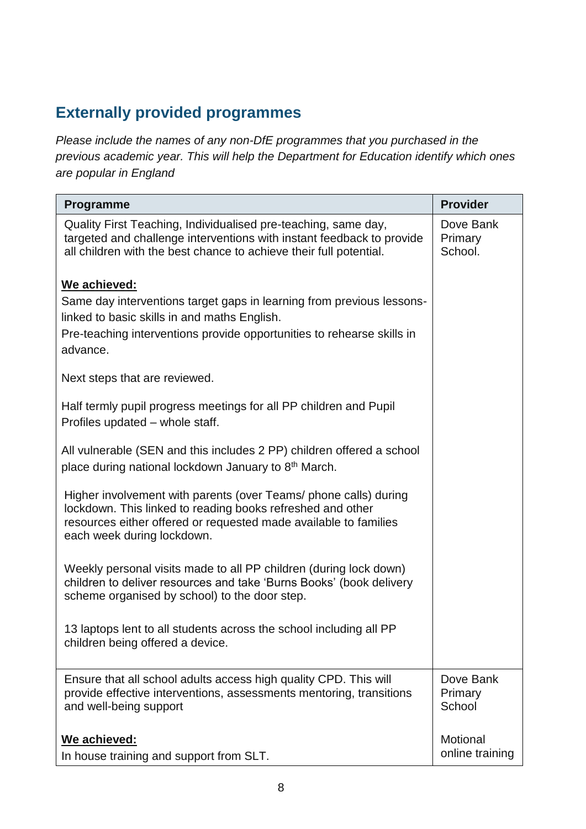## **Externally provided programmes**

*Please include the names of any non-DfE programmes that you purchased in the previous academic year. This will help the Department for Education identify which ones are popular in England*

| Programme                                                                                                                                                                                                                        | <b>Provider</b>                 |
|----------------------------------------------------------------------------------------------------------------------------------------------------------------------------------------------------------------------------------|---------------------------------|
| Quality First Teaching, Individualised pre-teaching, same day,<br>targeted and challenge interventions with instant feedback to provide<br>all children with the best chance to achieve their full potential.                    | Dove Bank<br>Primary<br>School. |
| We achieved:                                                                                                                                                                                                                     |                                 |
| Same day interventions target gaps in learning from previous lessons-<br>linked to basic skills in and maths English.                                                                                                            |                                 |
| Pre-teaching interventions provide opportunities to rehearse skills in<br>advance.                                                                                                                                               |                                 |
| Next steps that are reviewed.                                                                                                                                                                                                    |                                 |
| Half termly pupil progress meetings for all PP children and Pupil<br>Profiles updated - whole staff.                                                                                                                             |                                 |
| All vulnerable (SEN and this includes 2 PP) children offered a school<br>place during national lockdown January to 8 <sup>th</sup> March.                                                                                        |                                 |
| Higher involvement with parents (over Teams/ phone calls) during<br>lockdown. This linked to reading books refreshed and other<br>resources either offered or requested made available to families<br>each week during lockdown. |                                 |
| Weekly personal visits made to all PP children (during lock down)<br>children to deliver resources and take 'Burns Books' (book delivery<br>scheme organised by school) to the door step.                                        |                                 |
| 13 laptops lent to all students across the school including all PP<br>children being offered a device.                                                                                                                           |                                 |
| Ensure that all school adults access high quality CPD. This will<br>provide effective interventions, assessments mentoring, transitions<br>and well-being support                                                                | Dove Bank<br>Primary<br>School  |
| We achieved:<br>In house training and support from SLT.                                                                                                                                                                          | Motional<br>online training     |